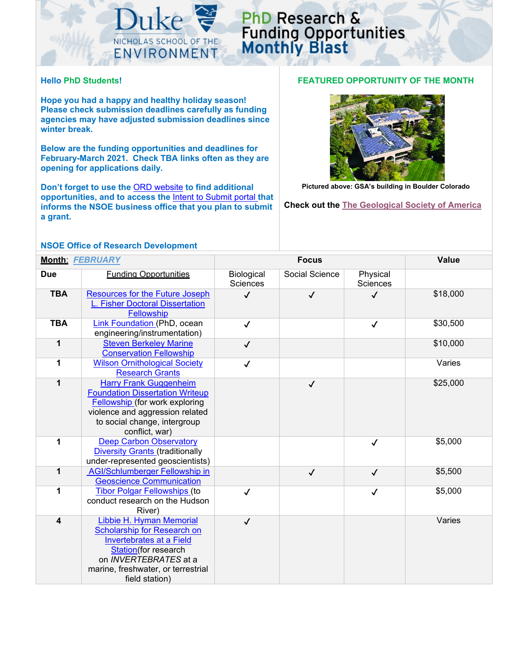

## PhD Research & **Funding Opportunities**<br>Monthly Blast

## **Hello PhD Students!**

**Hope you had a happy and healthy holiday season! Please check submission deadlines carefully as funding agencies may have adjusted submission deadlines since winter break.**

**Below are the funding opportunities and deadlines for February-March 2021. Check TBA links often as they are opening for applications daily.**

**Don't forget to use the** [ORD website](https://sites.nicholas.duke.edu/nsoeresearchdev/) **to find additional opportunities, and to access the** [Intent to Submit portal](https://sites.nicholas.duke.edu/nsoeresearchdev/phd-student-grant-submission-process/) **that informs the NSOE business office that you plan to submit a grant.** 

## **NSOE Office of Research Development**

## **FEATURED OPPORTUNITY OF THE MONTH**



**Pictured above: GSA's building in Boulder Colorado**

**Check out the [The Geological Society of America](https://www.geosociety.org/GSA/grants/gradgrants.aspx)**

| <b>Month: FEBRUARY</b>  |                                                                                                                                                                                                     | <b>Focus</b>                         |                |                      | Value    |
|-------------------------|-----------------------------------------------------------------------------------------------------------------------------------------------------------------------------------------------------|--------------------------------------|----------------|----------------------|----------|
| <b>Due</b>              | <b>Funding Opportunities</b>                                                                                                                                                                        | <b>Biological</b><br><b>Sciences</b> | Social Science | Physical<br>Sciences |          |
| <b>TBA</b>              | <b>Resources for the Future Joseph</b><br>L. Fisher Doctoral Dissertation<br>Fellowship                                                                                                             | $\checkmark$                         | $\checkmark$   | $\checkmark$         | \$18,000 |
| <b>TBA</b>              | Link Foundation (PhD, ocean<br>engineering/instrumentation)                                                                                                                                         | $\checkmark$                         |                | $\checkmark$         | \$30,500 |
| 1                       | <b>Steven Berkeley Marine</b><br><b>Conservation Fellowship</b>                                                                                                                                     | $\checkmark$                         |                |                      | \$10,000 |
| 1                       | <b>Wilson Ornithological Society</b><br><b>Research Grants</b>                                                                                                                                      | $\checkmark$                         |                |                      | Varies   |
| 1                       | <b>Harry Frank Guggenheim</b><br><b>Foundation Dissertation Writeup</b><br>Fellowship (for work exploring<br>violence and aggression related<br>to social change, intergroup<br>conflict, war)      |                                      | $\checkmark$   |                      | \$25,000 |
| 1                       | <b>Deep Carbon Observatory</b><br><b>Diversity Grants (traditionally</b><br>under-represented geoscientists)                                                                                        |                                      |                | $\checkmark$         | \$5,000  |
| 1                       | <b>AGI/Schlumberger Fellowship in</b><br><b>Geoscience Communication</b>                                                                                                                            |                                      | $\checkmark$   | $\checkmark$         | \$5,500  |
| 1                       | <b>Tibor Polgar Fellowships (to</b><br>conduct research on the Hudson<br>River)                                                                                                                     | $\checkmark$                         |                | $\checkmark$         | \$5,000  |
| $\overline{\mathbf{4}}$ | Libbie H. Hyman Memorial<br>Scholarship for Research on<br><b>Invertebrates at a Field</b><br>Station(for research<br>on INVERTEBRATES at a<br>marine, freshwater, or terrestrial<br>field station) | $\checkmark$                         |                |                      | Varies   |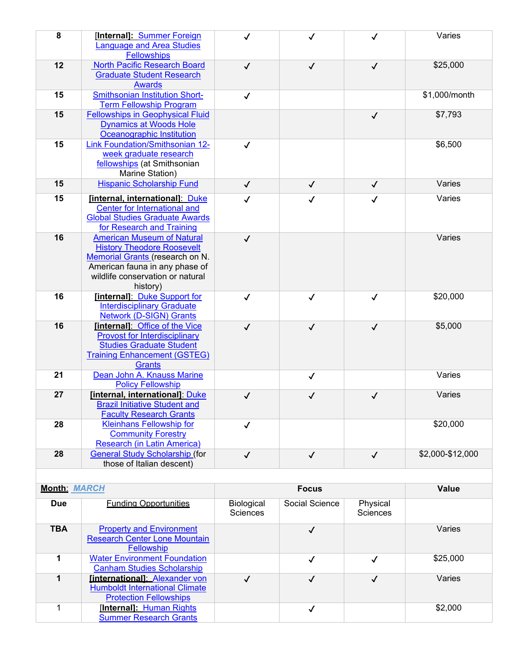| 8                   | [Internal]: Summer Foreign<br>anguage and <b>Area Studies</b>                                                                                                                               | $\checkmark$                  | ✓              | $\checkmark$                | Varies           |  |
|---------------------|---------------------------------------------------------------------------------------------------------------------------------------------------------------------------------------------|-------------------------------|----------------|-----------------------------|------------------|--|
| 12                  | <b>Fellowships</b><br><b>North Pacific Research Board</b>                                                                                                                                   | $\checkmark$                  | $\checkmark$   | $\checkmark$                | \$25,000         |  |
|                     | <b>Graduate Student Research</b><br><b>Awards</b>                                                                                                                                           |                               |                |                             |                  |  |
| 15                  | <b>Smithsonian Institution Short-</b><br><b>Term Fellowship Program</b>                                                                                                                     | $\checkmark$                  |                |                             | \$1,000/month    |  |
| 15                  | <b>Fellowships in Geophysical Fluid</b><br><b>Dynamics at Woods Hole</b><br>Oceanographic Institution                                                                                       |                               |                | $\checkmark$                | \$7,793          |  |
| 15                  | Link Foundation/Smithsonian 12-<br>week graduate research<br>fellowships (at Smithsonian<br>Marine Station)                                                                                 | $\checkmark$                  |                |                             | \$6,500          |  |
| 15                  | <b>Hispanic Scholarship Fund</b>                                                                                                                                                            | $\checkmark$                  | $\checkmark$   | $\checkmark$                | Varies           |  |
| 15                  | [internal, international]: Duke<br>Center for International and<br><b>Global Studies Graduate Awards</b><br>for Research and Training                                                       | $\checkmark$                  | $\checkmark$   | $\checkmark$                | Varies           |  |
| 16                  | <b>American Museum of Natural</b><br><b>History Theodore Roosevelt</b><br>Memorial Grants (research on N.<br>American fauna in any phase of<br>wildlife conservation or natural<br>history) | $\checkmark$                  |                |                             | Varies           |  |
| 16                  | [internal]: Duke Support for<br><b>Interdisciplinary Graduate</b><br><b>Network (D-SIGN) Grants</b>                                                                                         | $\checkmark$                  | $\checkmark$   | $\checkmark$                | \$20,000         |  |
| 16                  | [internal]: Office of the Vice<br><b>Provost for Interdisciplinary</b><br><b>Studies Graduate Student</b><br><b>Training Enhancement (GSTEG)</b><br><b>Grants</b>                           | $\checkmark$                  | $\checkmark$   | $\checkmark$                | \$5,000          |  |
| 21                  | Dean John A. Knauss Marine<br><b>Policy Fellowship</b>                                                                                                                                      |                               | $\checkmark$   |                             | Varies           |  |
| 27                  | [internal, international]: Duke<br><b>Brazil Initiative Student and</b><br><b>Faculty Research Grants</b>                                                                                   | $\checkmark$                  | ✓              | $\checkmark$                | Varies           |  |
| 28                  | <b>Kleinhans Fellowship for</b><br><b>Community Forestry</b><br>Research (in Latin America)                                                                                                 | $\checkmark$                  |                |                             | \$20,000         |  |
| 28                  | <b>General Study Scholarship (for</b><br>those of Italian descent)                                                                                                                          | $\checkmark$                  | $\checkmark$   | $\checkmark$                | \$2,000-\$12,000 |  |
|                     |                                                                                                                                                                                             |                               |                |                             |                  |  |
| <b>Month: MARCH</b> |                                                                                                                                                                                             |                               | <b>Focus</b>   |                             | <b>Value</b>     |  |
| <b>Due</b>          | <b>Funding Opportunities</b>                                                                                                                                                                | Biological<br><b>Sciences</b> | Social Science | Physical<br><b>Sciences</b> |                  |  |
| <b>TBA</b>          | <b>Property and Environment</b><br><b>Research Center Lone Mountain</b><br>Fellowship                                                                                                       |                               | $\checkmark$   |                             | Varies           |  |
| 1                   | <b>Water Environment Foundation</b><br><b>Canham Studies Scholarship</b>                                                                                                                    |                               | $\checkmark$   | $\checkmark$                | \$25,000         |  |
| $\mathbf 1$         | <b>linternationall: Alexander von</b><br><b>Humboldt International Climate</b><br><b>Protection Fellowships</b>                                                                             | $\checkmark$                  | $\checkmark$   | $\checkmark$                | Varies           |  |
| 1                   | [Internal]: Human Rights                                                                                                                                                                    |                               | $\checkmark$   |                             | \$2,000          |  |

[Summer Research Grants](http://humanrights.fhi.duke.edu/students/opportunities/research-grants/)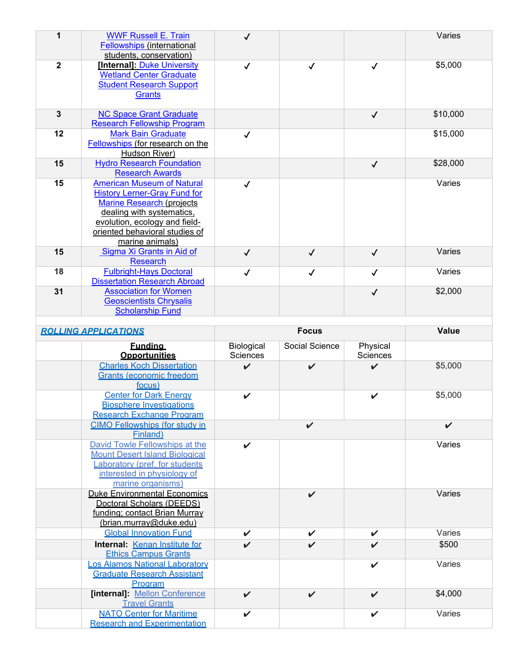| 1              | <b>WWF Russell E. Train</b><br><b>Fellowships (international</b><br>students, conservation)                                                                                                                                      | $\checkmark$ |              |              | Varies   |
|----------------|----------------------------------------------------------------------------------------------------------------------------------------------------------------------------------------------------------------------------------|--------------|--------------|--------------|----------|
| $\overline{2}$ | [Internal]: Duke University<br><b>Wetland Center Graduate</b><br><b>Student Research Support</b><br>Grants                                                                                                                       | $\checkmark$ | $\checkmark$ | $\checkmark$ | \$5,000  |
| $\overline{3}$ | <b>NC Space Grant Graduate</b><br><b>Research Fellowship Program</b>                                                                                                                                                             |              |              | $\checkmark$ | \$10,000 |
| 12             | <b>Mark Bain Graduate</b><br>Fellowships (for research on the<br>Hudson River)                                                                                                                                                   | ✓            |              |              | \$15,000 |
| 15             | <b>Hydro Research Foundation</b><br><b>Research Awards</b>                                                                                                                                                                       |              |              | $\checkmark$ | \$28,000 |
| 15             | <b>American Museum of Natural</b><br><b>History Lerner-Gray Fund for</b><br><b>Marine Research (projects)</b><br>dealing with systematics,<br>evolution, ecology and field-<br>oriented behavioral studies of<br>marine animals) | ✓            |              |              | Varies   |
| 15             | Sigma Xi Grants in Aid of<br><b>Research</b>                                                                                                                                                                                     | $\checkmark$ | $\checkmark$ | $\checkmark$ | Varies   |
| 18             | <b>Fulbright-Hays Doctoral</b><br><b>Dissertation Research Abroad</b>                                                                                                                                                            | $\checkmark$ | $\checkmark$ | $\checkmark$ | Varies   |
| 31             | <b>Association for Women</b><br><b>Geoscientists Chrysalis</b><br><b>Scholarship Fund</b>                                                                                                                                        |              |              | $\checkmark$ | \$2,000  |

| <b>ROLLING APPLICATIONS</b> |                                                                                                                                                              | <b>Focus</b>           |                    |                      | <b>Value</b>       |
|-----------------------------|--------------------------------------------------------------------------------------------------------------------------------------------------------------|------------------------|--------------------|----------------------|--------------------|
|                             | <b>Fundina</b><br><b>Opportunities</b>                                                                                                                       | Biological<br>Sciences | Social Science     | Physical<br>Sciences |                    |
|                             | <b>Charles Koch Dissertation</b><br><b>Grants (economic freedom</b><br><u>focus)</u>                                                                         | $\boldsymbol{\nu}$     | $\boldsymbol{\nu}$ | ✓                    | \$5,000            |
|                             | <b>Center for Dark Energy</b><br><b>Biosphere Investigations</b><br><b>Research Exchange Program</b>                                                         | V                      |                    | ✔                    | \$5,000            |
|                             | <b>CIMO Fellowships (for study in</b><br>Finland)                                                                                                            |                        | $\boldsymbol{\nu}$ |                      | $\boldsymbol{\nu}$ |
|                             | David Towle Fellowships at the<br><b>Mount Desert Island Biological</b><br>aboratory (pref. for students<br>interested in physiology of<br>marine organisms) | V                      |                    |                      | Varies             |
|                             | <b>Duke Environmental Economics</b><br>Doctoral Scholars (DEEDS)<br>funding; contact Brian Murray<br>(brian.murray@duke.edu)                                 |                        | $\boldsymbol{\nu}$ |                      | Varies             |
|                             | <b>Global Innovation Fund</b>                                                                                                                                | V                      | ✔                  | ✓                    | Varies             |
|                             | Internal: Kenan Institute for<br><b>Ethics Campus Grants</b>                                                                                                 | $\checkmark$           | $\boldsymbol{\nu}$ | $\boldsymbol{\nu}$   | \$500              |
|                             | os Alamos National Laboratory<br><b>Graduate Research Assistant</b><br>Program                                                                               |                        |                    | $\boldsymbol{\nu}$   | Varies             |
|                             | [internal]: Mellon Conference<br><b>Travel Grants</b>                                                                                                        | $\checkmark$           | $\boldsymbol{\nu}$ | $\boldsymbol{\nu}$   | \$4,000            |
|                             | <b>NATO Center for Maritime</b><br><b>Research and Experimentation</b>                                                                                       | $\boldsymbol{\nu}$     |                    | $\boldsymbol{\nu}$   | Varies             |